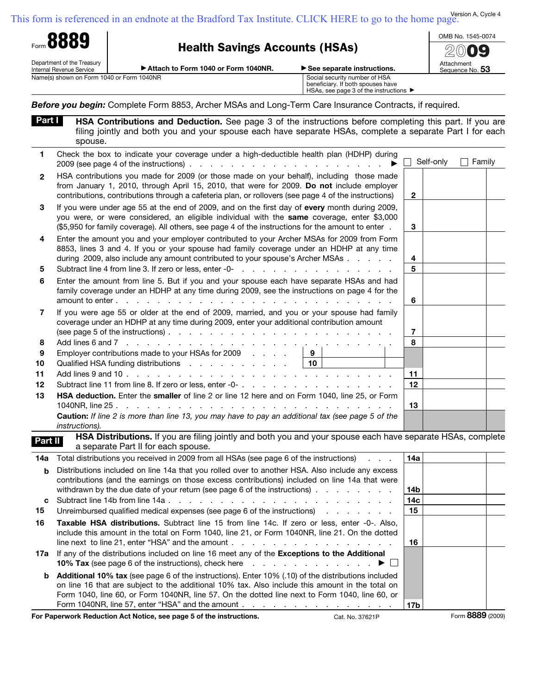| Form 8889<br><b>Health Savings Accounts (HSAs)</b> |                                                        |                                                                                                                                                                                                                                                                                                                    | OMB No. 1545-0074          |              |                               |        |  |
|----------------------------------------------------|--------------------------------------------------------|--------------------------------------------------------------------------------------------------------------------------------------------------------------------------------------------------------------------------------------------------------------------------------------------------------------------|----------------------------|--------------|-------------------------------|--------|--|
|                                                    |                                                        |                                                                                                                                                                                                                                                                                                                    |                            |              |                               |        |  |
|                                                    | Department of the Treasury<br>Internal Revenue Service | Attach to Form 1040 or Form 1040NR.                                                                                                                                                                                                                                                                                | See separate instructions. |              | Attachment<br>Sequence No. 53 |        |  |
| Name(s) shown on Form 1040 or Form 1040NR          |                                                        | Social security number of HSA<br>beneficiary. If both spouses have<br>HSAs, see page 3 of the instructions ▶                                                                                                                                                                                                       |                            |              |                               |        |  |
|                                                    |                                                        | Before you begin: Complete Form 8853, Archer MSAs and Long-Term Care Insurance Contracts, if required.                                                                                                                                                                                                             |                            |              |                               |        |  |
| Part I                                             | spouse.                                                | HSA Contributions and Deduction. See page 3 of the instructions before completing this part. If you are<br>filing jointly and both you and your spouse each have separate HSAs, complete a separate Part I for each                                                                                                |                            |              |                               |        |  |
| 1                                                  |                                                        | Check the box to indicate your coverage under a high-deductible health plan (HDHP) during<br>$2009$ (see page 4 of the instructions) $\ldots$ $\ldots$ $\ldots$ $\ldots$ $\ldots$ $\ldots$ $\ldots$                                                                                                                |                            |              | Self-only                     | Family |  |
| $\mathbf{2}$                                       |                                                        | HSA contributions you made for 2009 (or those made on your behalf), including those made<br>from January 1, 2010, through April 15, 2010, that were for 2009. Do not include employer<br>contributions, contributions through a cafeteria plan, or rollovers (see page 4 of the instructions)                      |                            | $\mathbf{2}$ |                               |        |  |
| 3                                                  |                                                        | If you were under age 55 at the end of 2009, and on the first day of every month during 2009,<br>you were, or were considered, an eligible individual with the same coverage, enter \$3,000<br>(\$5,950 for family coverage). All others, see page 4 of the instructions for the amount to enter.                  |                            | 3            |                               |        |  |
| 4                                                  |                                                        | Enter the amount you and your employer contributed to your Archer MSAs for 2009 from Form<br>8853, lines 3 and 4. If you or your spouse had family coverage under an HDHP at any time<br>during 2009, also include any amount contributed to your spouse's Archer MSAs                                             |                            | 4            |                               |        |  |
| 5                                                  |                                                        |                                                                                                                                                                                                                                                                                                                    |                            | 5            |                               |        |  |
| 6                                                  |                                                        | Enter the amount from line 5. But if you and your spouse each have separate HSAs and had<br>family coverage under an HDHP at any time during 2009, see the instructions on page 4 for the<br>amount to enter $\cdots$ , $\cdots$ , $\cdots$                                                                        |                            | 6            |                               |        |  |
| 7                                                  |                                                        | If you were age 55 or older at the end of 2009, married, and you or your spouse had family<br>coverage under an HDHP at any time during 2009, enter your additional contribution amount                                                                                                                            |                            | 7            |                               |        |  |
| 8                                                  |                                                        |                                                                                                                                                                                                                                                                                                                    |                            | 8            |                               |        |  |
| 9                                                  |                                                        | Employer contributions made to your HSAs for 2009                                                                                                                                                                                                                                                                  | 9                          |              |                               |        |  |
| 10                                                 |                                                        | Qualified HSA funding distributions                                                                                                                                                                                                                                                                                | 10                         |              |                               |        |  |
| 11<br>12                                           |                                                        |                                                                                                                                                                                                                                                                                                                    |                            | 11<br>12     |                               |        |  |
| 13                                                 |                                                        | HSA deduction. Enter the smaller of line 2 or line 12 here and on Form 1040, line 25, or Form                                                                                                                                                                                                                      |                            |              |                               |        |  |
|                                                    |                                                        |                                                                                                                                                                                                                                                                                                                    |                            | 13           |                               |        |  |
|                                                    | instructions).                                         | Caution: If line 2 is more than line 13, you may have to pay an additional tax (see page 5 of the                                                                                                                                                                                                                  |                            |              |                               |        |  |
| Part II                                            |                                                        | HSA Distributions. If you are filing jointly and both you and your spouse each have separate HSAs, complete<br>a separate Part II for each spouse.                                                                                                                                                                 |                            |              |                               |        |  |
| 14a                                                |                                                        | Total distributions you received in 2009 from all HSAs (see page 6 of the instructions)                                                                                                                                                                                                                            |                            | 14a          |                               |        |  |
| b                                                  |                                                        | Distributions included on line 14a that you rolled over to another HSA. Also include any excess<br>contributions (and the earnings on those excess contributions) included on line 14a that were<br>withdrawn by the due date of your return (see page 6 of the instructions)                                      |                            | 14b          |                               |        |  |
| с                                                  |                                                        |                                                                                                                                                                                                                                                                                                                    |                            | 14c          |                               |        |  |
| 15                                                 |                                                        | Unreimbursed qualified medical expenses (see page 6 of the instructions)                                                                                                                                                                                                                                           |                            | 15           |                               |        |  |
| 16                                                 |                                                        | Taxable HSA distributions. Subtract line 15 from line 14c. If zero or less, enter -0-. Also,<br>include this amount in the total on Form 1040, line 21, or Form 1040NR, line 21. On the dotted<br>line next to line 21, enter "HSA" and the amount $\ldots$ , $\ldots$ , $\ldots$ , $\ldots$ , $\ldots$ , $\ldots$ |                            | 16           |                               |        |  |
| 17а                                                |                                                        | If any of the distributions included on line 16 meet any of the Exceptions to the Additional                                                                                                                                                                                                                       |                            |              |                               |        |  |

| <b>10% Tax</b> (see page 6 of the instructions), check here $\ldots$ , $\ldots$ , $\ldots$ , $\ldots$       |                 |
|-------------------------------------------------------------------------------------------------------------|-----------------|
| <b>b</b> Additional 10% tax (see page 6 of the instructions). Enter 10% (.10) of the distributions included |                 |
| on line 16 that are subject to the additional 10% tax. Also include this amount in the total on             |                 |
| Form 1040, line 60, or Form 1040NR, line 57. On the dotted line next to Form 1040, line 60, or              |                 |
|                                                                                                             | 17 <sub>b</sub> |

**For Paperwork Reduction Act Notice, see page 5 of the instructions.** Cat. No. 37621P Form **8889** (2009)